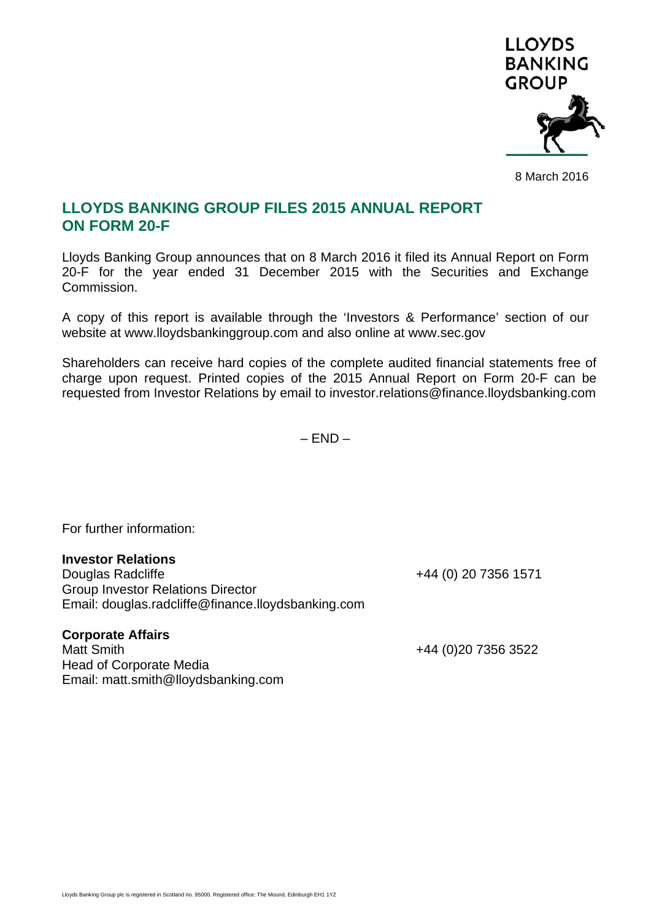

8 March 2016

## **LLOYDS BANKING GROUP FILES 2015 ANNUAL REPORT ON FORM 20-F**

Lloyds Banking Group announces that on 8 March 2016 it filed its Annual Report on Form 20-F for the year ended 31 December 2015 with the Securities and Exchange Commission.

A copy of this report is available through the 'Investors & Performance' section of our website at www.lloydsbankinggroup.com and also online at www.sec.gov

Shareholders can receive hard copies of the complete audited financial statements free of charge upon request. Printed copies of the 2015 Annual Report on Form 20-F can be requested from Investor Relations by email to investor.relations@finance.lloydsbanking.com

 $- FND -$ 

For further information:

## **Investor Relations**

Douglas Radcliffe +44 (0) 20 7356 1571 Group Investor Relations Director Email: douglas.radcliffe@finance.lloydsbanking.com

## **Corporate Affairs**

Matt Smith +44 (0)20 7356 3522 Head of Corporate Media Email: matt.smith@lloydsbanking.com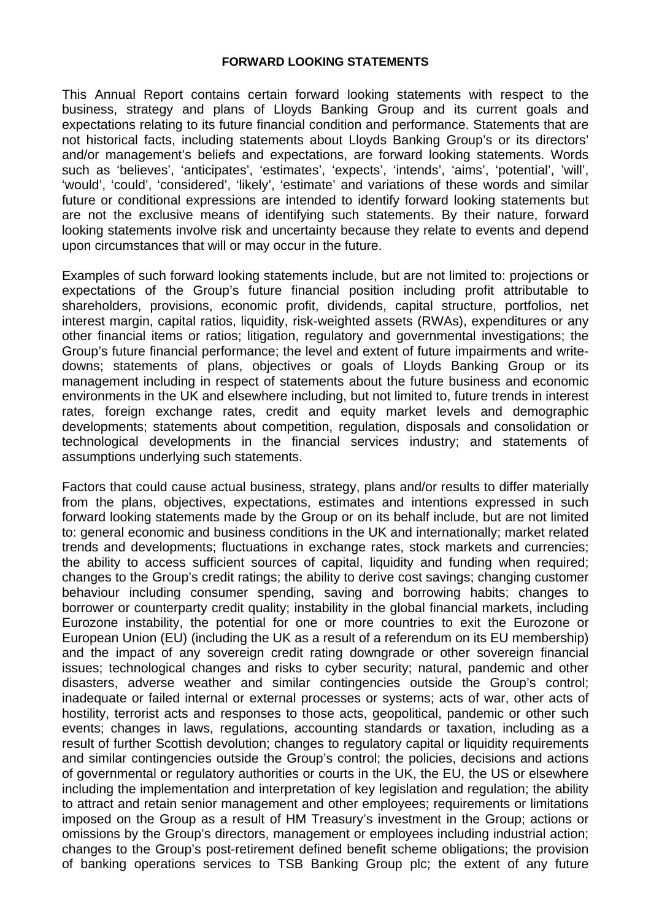## **FORWARD LOOKING STATEMENTS**

This Annual Report contains certain forward looking statements with respect to the business, strategy and plans of Lloyds Banking Group and its current goals and expectations relating to its future financial condition and performance. Statements that are not historical facts, including statements about Lloyds Banking Group's or its directors' and/or management's beliefs and expectations, are forward looking statements. Words such as 'believes', 'anticipates', 'estimates', 'expects', 'intends', 'aims', 'potential', 'will', 'would', 'could', 'considered', 'likely', 'estimate' and variations of these words and similar future or conditional expressions are intended to identify forward looking statements but are not the exclusive means of identifying such statements. By their nature, forward looking statements involve risk and uncertainty because they relate to events and depend upon circumstances that will or may occur in the future.

Examples of such forward looking statements include, but are not limited to: projections or expectations of the Group's future financial position including profit attributable to shareholders, provisions, economic profit, dividends, capital structure, portfolios, net interest margin, capital ratios, liquidity, risk-weighted assets (RWAs), expenditures or any other financial items or ratios; litigation, regulatory and governmental investigations; the Group's future financial performance; the level and extent of future impairments and writedowns; statements of plans, objectives or goals of Lloyds Banking Group or its management including in respect of statements about the future business and economic environments in the UK and elsewhere including, but not limited to, future trends in interest rates, foreign exchange rates, credit and equity market levels and demographic developments; statements about competition, regulation, disposals and consolidation or technological developments in the financial services industry; and statements of assumptions underlying such statements.

Factors that could cause actual business, strategy, plans and/or results to differ materially from the plans, objectives, expectations, estimates and intentions expressed in such forward looking statements made by the Group or on its behalf include, but are not limited to: general economic and business conditions in the UK and internationally; market related trends and developments; fluctuations in exchange rates, stock markets and currencies; the ability to access sufficient sources of capital, liquidity and funding when required; changes to the Group's credit ratings; the ability to derive cost savings; changing customer behaviour including consumer spending, saving and borrowing habits; changes to borrower or counterparty credit quality; instability in the global financial markets, including Eurozone instability, the potential for one or more countries to exit the Eurozone or European Union (EU) (including the UK as a result of a referendum on its EU membership) and the impact of any sovereign credit rating downgrade or other sovereign financial issues; technological changes and risks to cyber security; natural, pandemic and other disasters, adverse weather and similar contingencies outside the Group's control; inadequate or failed internal or external processes or systems; acts of war, other acts of hostility, terrorist acts and responses to those acts, geopolitical, pandemic or other such events; changes in laws, regulations, accounting standards or taxation, including as a result of further Scottish devolution; changes to regulatory capital or liquidity requirements and similar contingencies outside the Group's control; the policies, decisions and actions of governmental or regulatory authorities or courts in the UK, the EU, the US or elsewhere including the implementation and interpretation of key legislation and regulation; the ability to attract and retain senior management and other employees; requirements or limitations imposed on the Group as a result of HM Treasury's investment in the Group; actions or omissions by the Group's directors, management or employees including industrial action; changes to the Group's post-retirement defined benefit scheme obligations; the provision of banking operations services to TSB Banking Group plc; the extent of any future